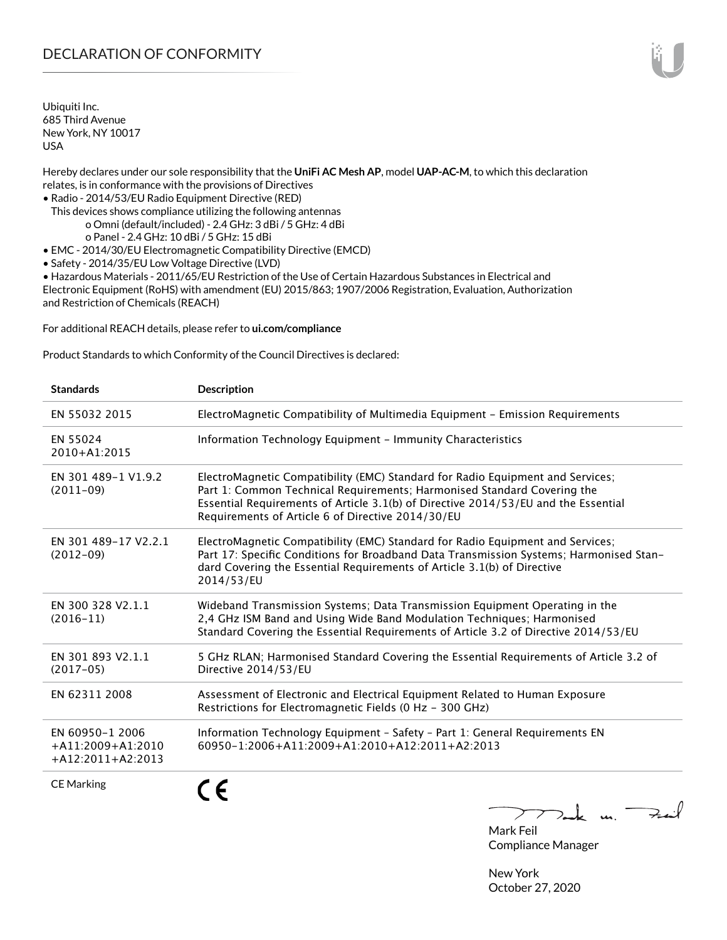# DECLARATION OF CONFORMITY

Ubiquiti Inc. 685 Third Avenue New York, NY 10017 USA

Hereby declares under our sole responsibility that the **UniFi AC Mesh AP**, model **UAP-AC-M**, to which this declaration relates, is in conformance with the provisions of Directives

- Radio 2014/53/EU Radio Equipment Directive (RED)
- This devices shows compliance utilizing the following antennas o Omni (default/included) - 2.4 GHz: 3 dBi / 5 GHz: 4 dBi o Panel - 2.4 GHz: 10 dBi / 5 GHz: 15 dBi
- EMC 2014/30/EU Electromagnetic Compatibility Directive (EMCD)
- Safety 2014/35/EU Low Voltage Directive (LVD)

• Hazardous Materials - 2011/65/EU Restriction of the Use of Certain Hazardous Substances in Electrical and Electronic Equipment (RoHS) with amendment (EU) 2015/863; 1907/2006 Registration, Evaluation, Authorization and Restriction of Chemicals (REACH)

For additional REACH details, please refer to **[ui.com/compliance](http://ui.com/compliance )**

Product Standards to which Conformity of the Council Directives is declared:

| <b>Standards</b>                                              | <b>Description</b>                                                                                                                                                                                                                                                                                   |
|---------------------------------------------------------------|------------------------------------------------------------------------------------------------------------------------------------------------------------------------------------------------------------------------------------------------------------------------------------------------------|
| EN 55032 2015                                                 | ElectroMagnetic Compatibility of Multimedia Equipment - Emission Requirements                                                                                                                                                                                                                        |
| EN 55024<br>2010+A1:2015                                      | Information Technology Equipment - Immunity Characteristics                                                                                                                                                                                                                                          |
| EN 301 489-1 V1.9.2<br>$(2011-09)$                            | ElectroMagnetic Compatibility (EMC) Standard for Radio Equipment and Services;<br>Part 1: Common Technical Requirements; Harmonised Standard Covering the<br>Essential Requirements of Article 3.1(b) of Directive 2014/53/EU and the Essential<br>Requirements of Article 6 of Directive 2014/30/EU |
| EN 301 489-17 V2.2.1<br>$(2012-09)$                           | ElectroMagnetic Compatibility (EMC) Standard for Radio Equipment and Services;<br>Part 17: Specific Conditions for Broadband Data Transmission Systems; Harmonised Stan-<br>dard Covering the Essential Requirements of Article 3.1(b) of Directive<br>2014/53/EU                                    |
| EN 300 328 V2.1.1<br>$(2016 - 11)$                            | Wideband Transmission Systems; Data Transmission Equipment Operating in the<br>2,4 GHz ISM Band and Using Wide Band Modulation Techniques; Harmonised<br>Standard Covering the Essential Requirements of Article 3.2 of Directive 2014/53/EU                                                         |
| EN 301 893 V2.1.1<br>$(2017-05)$                              | 5 GHz RLAN; Harmonised Standard Covering the Essential Requirements of Article 3.2 of<br>Directive 2014/53/EU                                                                                                                                                                                        |
| EN 62311 2008                                                 | Assessment of Electronic and Electrical Equipment Related to Human Exposure<br>Restrictions for Electromagnetic Fields (0 Hz - 300 GHz)                                                                                                                                                              |
| EN 60950-1 2006<br>$+A11:2009+A1:2010$<br>$+A12:2011+A2:2013$ | Information Technology Equipment - Safety - Part 1: General Requirements EN<br>$60950 - 1:2006 + A11:2009 + A1:2010 + A12:2011 + A2:2013$                                                                                                                                                            |
| <b>CE Marking</b>                                             | م -                                                                                                                                                                                                                                                                                                  |

Dank un Zuil

Mark Feil Compliance Manager

New York October 27, 2020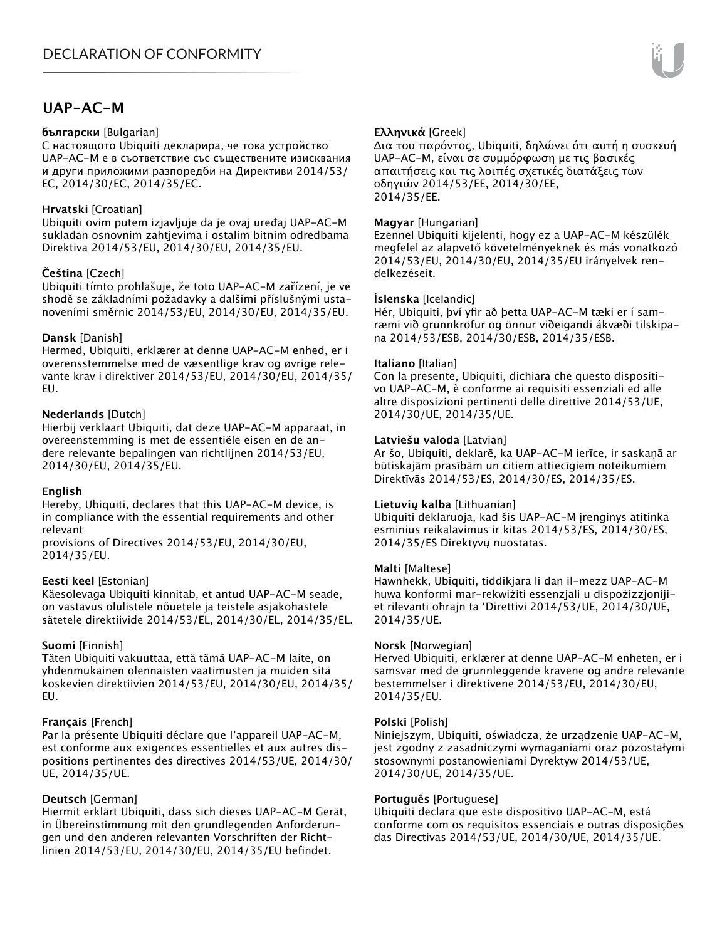# **UAP-AC-M**

## **български** [Bulgarian]

С настоящото Ubiquiti декларира, че това устройство UAP-AC-M е в съответствие със съществените изисквания и други приложими разпоредби на Директиви 2014/53/ EC, 2014/30/ЕС, 2014/35/ЕС.

## **Hrvatski** [Croatian]

Ubiquiti ovim putem izjavljuje da je ovaj uređaj UAP-AC-M sukladan osnovnim zahtjevima i ostalim bitnim odredbama Direktiva 2014/53/EU, 2014/30/EU, 2014/35/EU.

# **Čeština** [Czech]

Ubiquiti tímto prohlašuje, že toto UAP-AC-M zařízení, je ve shodě se základními požadavky a dalšími příslušnými ustanoveními směrnic 2014/53/EU, 2014/30/EU, 2014/35/EU.

## **Dansk** [Danish]

Hermed, Ubiquiti, erklærer at denne UAP-AC-M enhed, er i overensstemmelse med de væsentlige krav og øvrige relevante krav i direktiver 2014/53/EU, 2014/30/EU, 2014/35/ EU.

## **Nederlands** [Dutch]

Hierbij verklaart Ubiquiti, dat deze UAP-AC-M apparaat, in overeenstemming is met de essentiële eisen en de andere relevante bepalingen van richtlijnen 2014/53/EU, 2014/30/EU, 2014/35/EU.

## **English**

Hereby, Ubiquiti, declares that this UAP-AC-M device, is in compliance with the essential requirements and other relevant

provisions of Directives 2014/53/EU, 2014/30/EU, 2014/35/EU.

## **Eesti keel** [Estonian]

Käesolevaga Ubiquiti kinnitab, et antud UAP-AC-M seade, on vastavus olulistele nõuetele ja teistele asjakohastele sätetele direktiivide 2014/53/EL, 2014/30/EL, 2014/35/EL.

## **Suomi** [Finnish]

Täten Ubiquiti vakuuttaa, että tämä UAP-AC-M laite, on yhdenmukainen olennaisten vaatimusten ja muiden sitä koskevien direktiivien 2014/53/EU, 2014/30/EU, 2014/35/ EU.

## **Français** [French]

Par la présente Ubiquiti déclare que l'appareil UAP-AC-M, est conforme aux exigences essentielles et aux autres dispositions pertinentes des directives 2014/53/UE, 2014/30/ UE, 2014/35/UE.

# **Deutsch** [German]

Hiermit erklärt Ubiquiti, dass sich dieses UAP-AC-M Gerät, in Übereinstimmung mit den grundlegenden Anforderungen und den anderen relevanten Vorschriften der Richtlinien 2014/53/EU, 2014/30/EU, 2014/35/EU befindet.

# **Ελληνικά** [Greek]

Δια του παρόντος, Ubiquiti, δηλώνει ότι αυτή η συσκευή UAP-AC-M, είναι σε συμμόρφωση με τις βασικές απαιτήσεις και τις λοιπές σχετικές διατάξεις των οδηγιών 2014/53/EE, 2014/30/EE, 2014/35/EE.

## **Magyar** [Hungarian]

Ezennel Ubiquiti kijelenti, hogy ez a UAP-AC-M készülék megfelel az alapvető követelményeknek és más vonatkozó 2014/53/EU, 2014/30/EU, 2014/35/EU irányelvek rendelkezéseit.

## **Íslenska** [Icelandic]

Hér, Ubiquiti, því yfir að þetta UAP-AC-M tæki er í samræmi við grunnkröfur og önnur viðeigandi ákvæði tilskipana 2014/53/ESB, 2014/30/ESB, 2014/35/ESB.

## **Italiano** [Italian]

Con la presente, Ubiquiti, dichiara che questo dispositivo UAP-AC-M, è conforme ai requisiti essenziali ed alle altre disposizioni pertinenti delle direttive 2014/53/UE, 2014/30/UE, 2014/35/UE.

## **Latviešu valoda** [Latvian]

Ar šo, Ubiquiti, deklarē, ka UAP-AC-M ierīce, ir saskaņā ar būtiskajām prasībām un citiem attiecīgiem noteikumiem Direktīvās 2014/53/ES, 2014/30/ES, 2014/35/ES.

## **Lietuvių kalba** [Lithuanian]

Ubiquiti deklaruoja, kad šis UAP-AC-M įrenginys atitinka esminius reikalavimus ir kitas 2014/53/ES, 2014/30/ES, 2014/35/ES Direktyvų nuostatas.

## **Malti** [Maltese]

Hawnhekk, Ubiquiti, tiddikjara li dan il-mezz UAP-AC-M huwa konformi mar-rekwiżiti essenzjali u dispożizzjonijiet rilevanti oħrajn ta 'Direttivi 2014/53/UE, 2014/30/UE, 2014/35/UE.

## **Norsk** [Norwegian]

Herved Ubiquiti, erklærer at denne UAP-AC-M enheten, er i samsvar med de grunnleggende kravene og andre relevante bestemmelser i direktivene 2014/53/EU, 2014/30/EU, 2014/35/EU.

#### **Polski** [Polish]

Niniejszym, Ubiquiti, oświadcza, że urządzenie UAP-AC-M, jest zgodny z zasadniczymi wymaganiami oraz pozostałymi stosownymi postanowieniami Dyrektyw 2014/53/UE, 2014/30/UE, 2014/35/UE.

## **Português** [Portuguese]

Ubiquiti declara que este dispositivo UAP-AC-M, está conforme com os requisitos essenciais e outras disposições das Directivas 2014/53/UE, 2014/30/UE, 2014/35/UE.